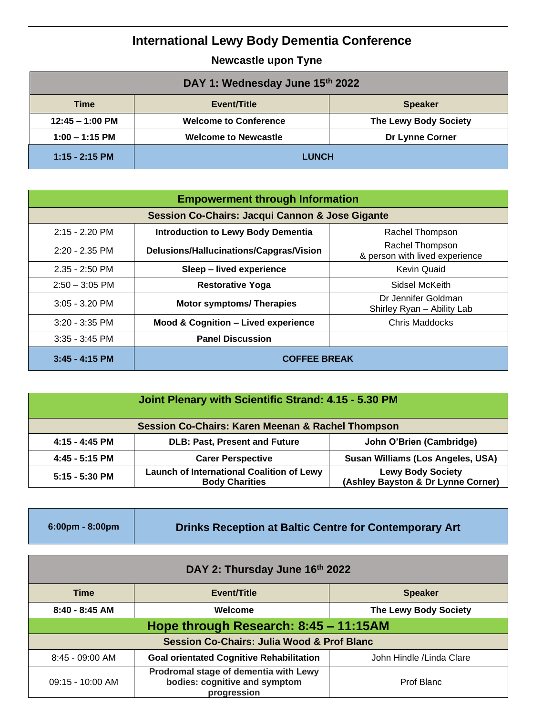## **International Lewy Body Dementia Conference**

**Newcastle upon Tyne**

| DAY 1: Wednesday June 15th 2022 |                              |                              |
|---------------------------------|------------------------------|------------------------------|
| Time                            | Event/Title                  | <b>Speaker</b>               |
| $12:45 - 1:00$ PM               | <b>Welcome to Conference</b> | <b>The Lewy Body Society</b> |
| $1:00 - 1:15$ PM                | <b>Welcome to Newcastle</b>  | Dr Lynne Corner              |
| $1:15 - 2:15$ PM                | <b>LUNCH</b>                 |                              |

| <b>Empowerment through Information</b>                     |                                                |                                                   |
|------------------------------------------------------------|------------------------------------------------|---------------------------------------------------|
| <b>Session Co-Chairs: Jacqui Cannon &amp; Jose Gigante</b> |                                                |                                                   |
| $2:15 - 2.20$ PM                                           | <b>Introduction to Lewy Body Dementia</b>      | Rachel Thompson                                   |
| $2:20 - 2:35$ PM                                           | Delusions/Hallucinations/Capgras/Vision        | Rachel Thompson<br>& person with lived experience |
| $2.35 - 2:50$ PM                                           | Sleep - lived experience                       | Kevin Quaid                                       |
| $2:50 - 3:05$ PM                                           | <b>Restorative Yoga</b>                        | Sidsel McKeith                                    |
| $3:05 - 3.20$ PM                                           | <b>Motor symptoms/ Therapies</b>               | Dr Jennifer Goldman<br>Shirley Ryan - Ability Lab |
| $3:20 - 3:35$ PM                                           | <b>Mood &amp; Cognition - Lived experience</b> | <b>Chris Maddocks</b>                             |
| $3:35 - 3:45$ PM                                           | <b>Panel Discussion</b>                        |                                                   |
| $3:45 - 4:15$ PM                                           | <b>COFFEE BREAK</b>                            |                                                   |

| Joint Plenary with Scientific Strand: 4.15 - 5.30 PM         |                                                                           |                                                                |
|--------------------------------------------------------------|---------------------------------------------------------------------------|----------------------------------------------------------------|
| <b>Session Co-Chairs: Karen Meenan &amp; Rachel Thompson</b> |                                                                           |                                                                |
| 4:15 - 4:45 PM                                               | <b>DLB: Past, Present and Future</b>                                      | John O'Brien (Cambridge)                                       |
| $4:45 - 5:15$ PM                                             | <b>Carer Perspective</b>                                                  | Susan Williams (Los Angeles, USA)                              |
| $5:15 - 5:30$ PM                                             | <b>Launch of International Coalition of Lewy</b><br><b>Body Charities</b> | <b>Lewy Body Society</b><br>(Ashley Bayston & Dr Lynne Corner) |

| $6:00 \text{pm} - 8:00 \text{pm}$ | Drinks Reception at Baltic Centre for Contemporary Art |
|-----------------------------------|--------------------------------------------------------|
|-----------------------------------|--------------------------------------------------------|

| DAY 2: Thursday June 16th 2022                        |                                                                                       |                              |
|-------------------------------------------------------|---------------------------------------------------------------------------------------|------------------------------|
| <b>Time</b>                                           | Event/Title                                                                           | <b>Speaker</b>               |
| $8:40 - 8:45$ AM                                      | Welcome                                                                               | <b>The Lewy Body Society</b> |
| Hope through Research: 8:45 - 11:15AM                 |                                                                                       |                              |
| <b>Session Co-Chairs: Julia Wood &amp; Prof Blanc</b> |                                                                                       |                              |
| $8:45 - 09:00$ AM                                     | <b>Goal orientated Cognitive Rehabilitation</b>                                       | John Hindle / Linda Clare    |
| 09:15 - 10:00 AM                                      | Prodromal stage of dementia with Lewy<br>bodies: cognitive and symptom<br>progression | Prof Blanc                   |